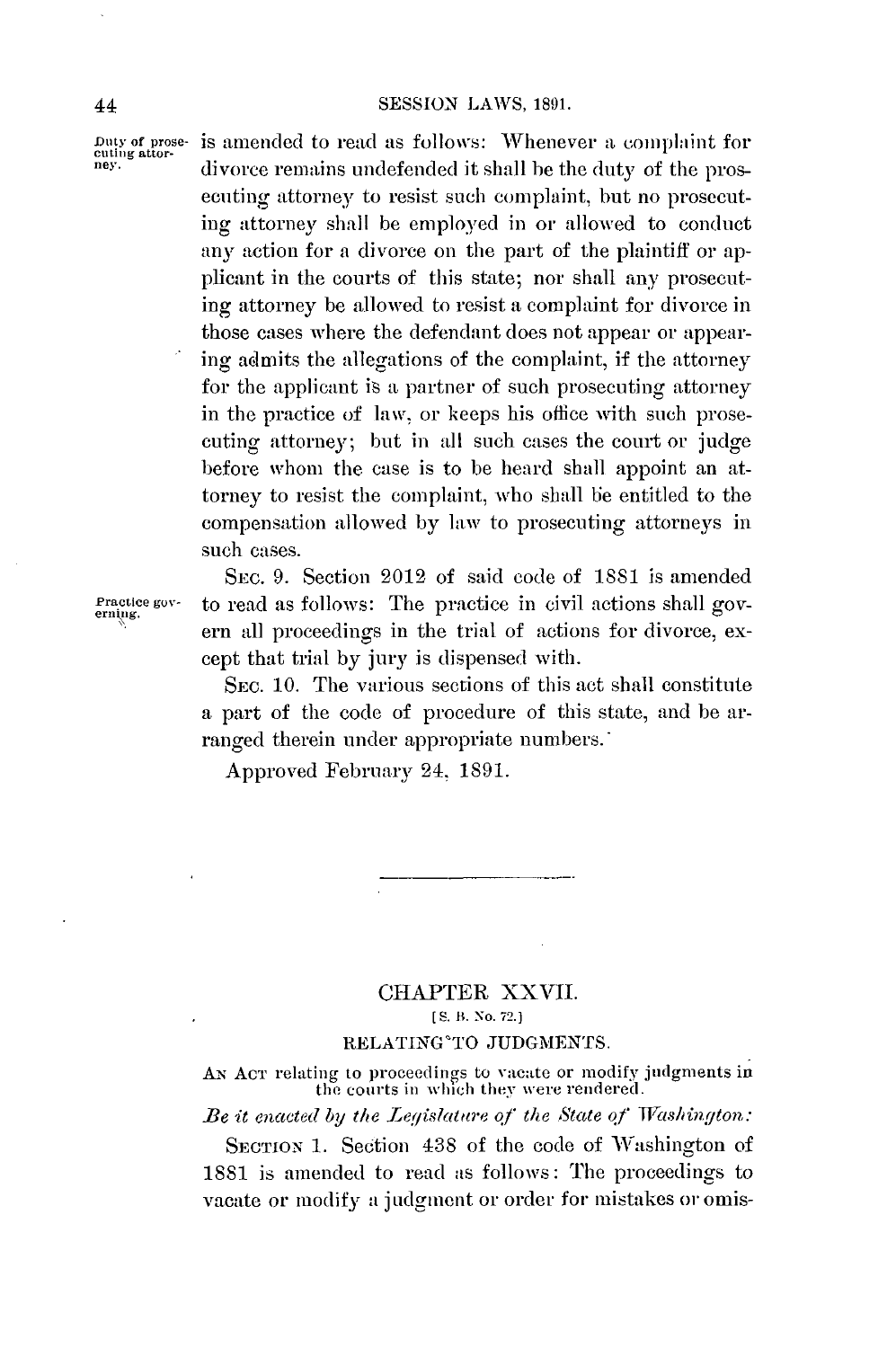#### 44 **SESSION** LAWS, **1891.**

**Duty of prose-** is amended to read as follows: Whenever **a** complaint for **cluing attor- ney.** divorce remains undefended it shall be the duty of the prosecuting attorney to resist such complaint, but no prosecuting attorney shall be employed in or allowed to conduct any action for **a** divorce on the part of the plaintiff or applicant in the courts of this state; nor shall any prosecuting attorney be allowed to resist a complaint for divorce in those cases where the defendant does not appear or appearing admits the allegations of the complaint, if the attorney for the applicant is a partner of such prosecuting attorney in the practice of law, or keeps his office with such prosecuting attorney; but in **all** such cases the court or judge before whom the case is to be heard shall appoint an attorney to resist the complaint, who shall be entitled to the compensation allowed **by** law to prosecuting attorneys in **such** cases.

SEC. **9.** Section **2012** of said code of **1881** is amended **Practice gov-** to read as follows: The practice in civil actions shall gov- **erning.** ern all proceedings in the trial of actions for divorce, except that trial **by** jury is dispensed with.

> **SEC. 10.** The various sections of this act shall constitute a part of the code of procedure of this state, and be arranged therein under appropriate numbers.

Approved February 24, **1891.**

# CHAPTER XXVII. **[5'. It. No. 72. ]**

### RELATING' TO **JUDGMENTS.**

**AN ACT** relating to proceedings to vacate or modify judgments in the courts **in** wlich they were rendered.

Be it enacted **by the** Legislature **of** the State **of** Washington:

**SECTION 1.** Section 438 of the code of Washington of **1881** is amended to read as follows: The proceedings to vacate or modify a judgment or order for mistakes or omis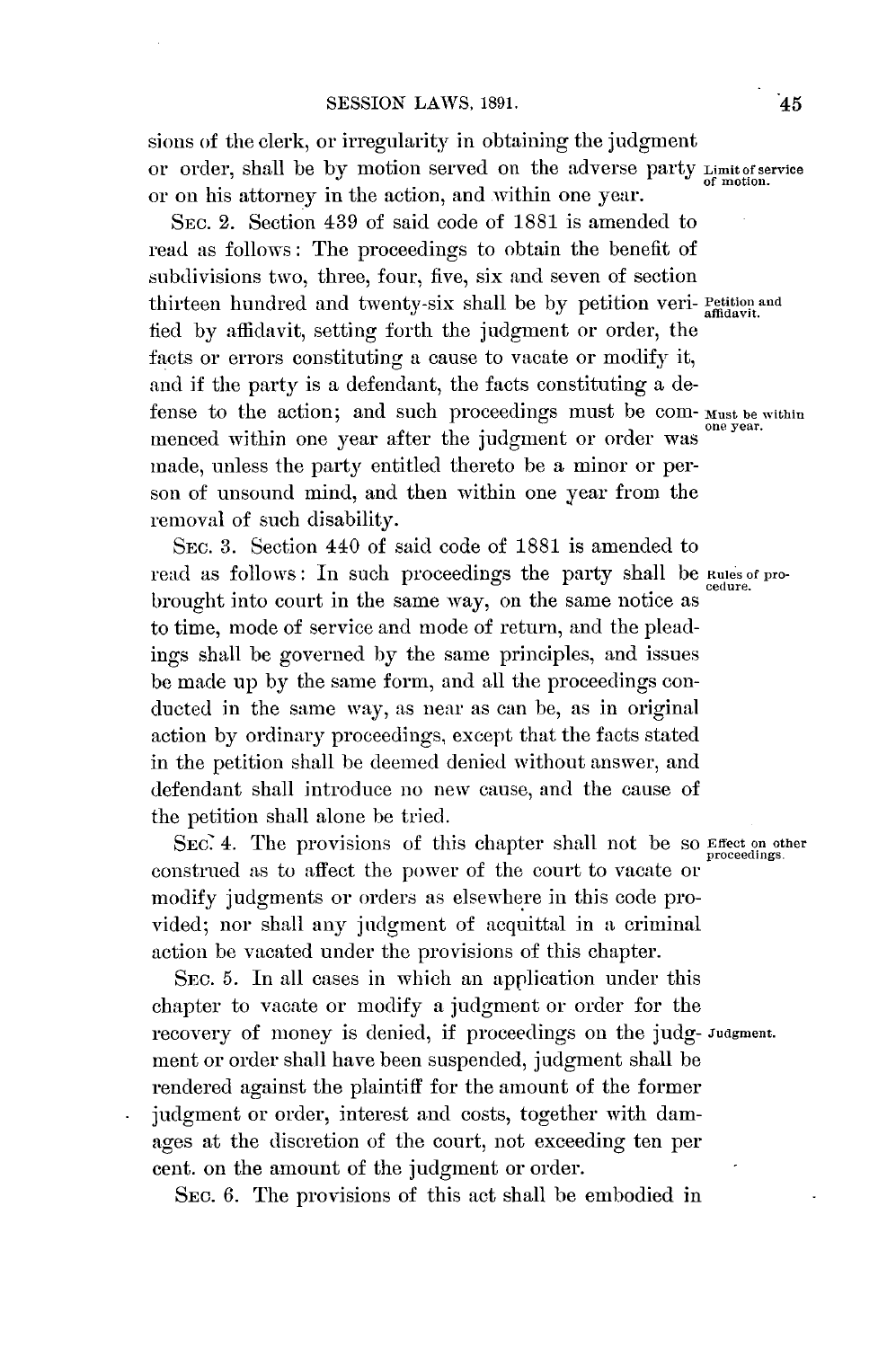sions of the clerk, or irregularity in obtaining the judgment or order, shall be **by** motion served on the adverse party **Limitof service of motion.** or on his attorney in the action, and within one year.

SEC. 2. Section 439 of said code of **1881** is amended to read as follows: The proceedings to obtain the benefit of subdivisions two, three, four, five, six and seven of section thirteen hundred and twenty-six shall be **by** petition veri- **Petition and affidavit.** fied **by** affidavit, setting forth the judgment or order, the facts or errors constituting a cause to vacate or modify it, and if the party is a defendant, the facts constituting a defense to the action; and such proceedings must be com- **Must be within one year.** menced within one year after the judgment or order was made, unless the party entitled thereto be a minor or person of unsound mind, and then within one year from the removal of such disability.

SEC. **3.** Section 440 of said code of **1881** is amended to read as follows: In such proceedings the party shall be **Rules of pro- cedure.** brought into court in the same way, on the same notice as to time, mode of service and mode of return, and the pleadings shall **be** governed **by** the same principles, and issues **be** made up **by** the same form, and all the proceedings conducted in the same way, as near as can be, as in original action **by** ordinary proceedings, except that the facts stated in the petition shall be deemed denied without answer, and defendant shall introduce no new cause, and the cause of the petition shall alone be tried.

*SEc* 4. The provisions of this chapter shall not be so **Effect on other** construed as to affect the power of the court to vacate or modify judgments or orders as elsewhere in this code provided; nor shall any judgment of acquittal in a criminal action be vacated under the provisions of this chapter.

**SEC. 5.** In all cases in which an application under this chapter to vacate or modify a judgment or order for the recovery of money is denied, if proceedings on the judg- **Judgment.** ment or order shall have been suspended, judgment shall be rendered against the plaintiff for the amount of the former judgment or order, interest and costs, together with damages at the discretion of the court, not exceeding ten per cent. on the amount of the judgment or order.

**SEC. 6.** The provisions of this act shall be embodied in

**proceedings.**